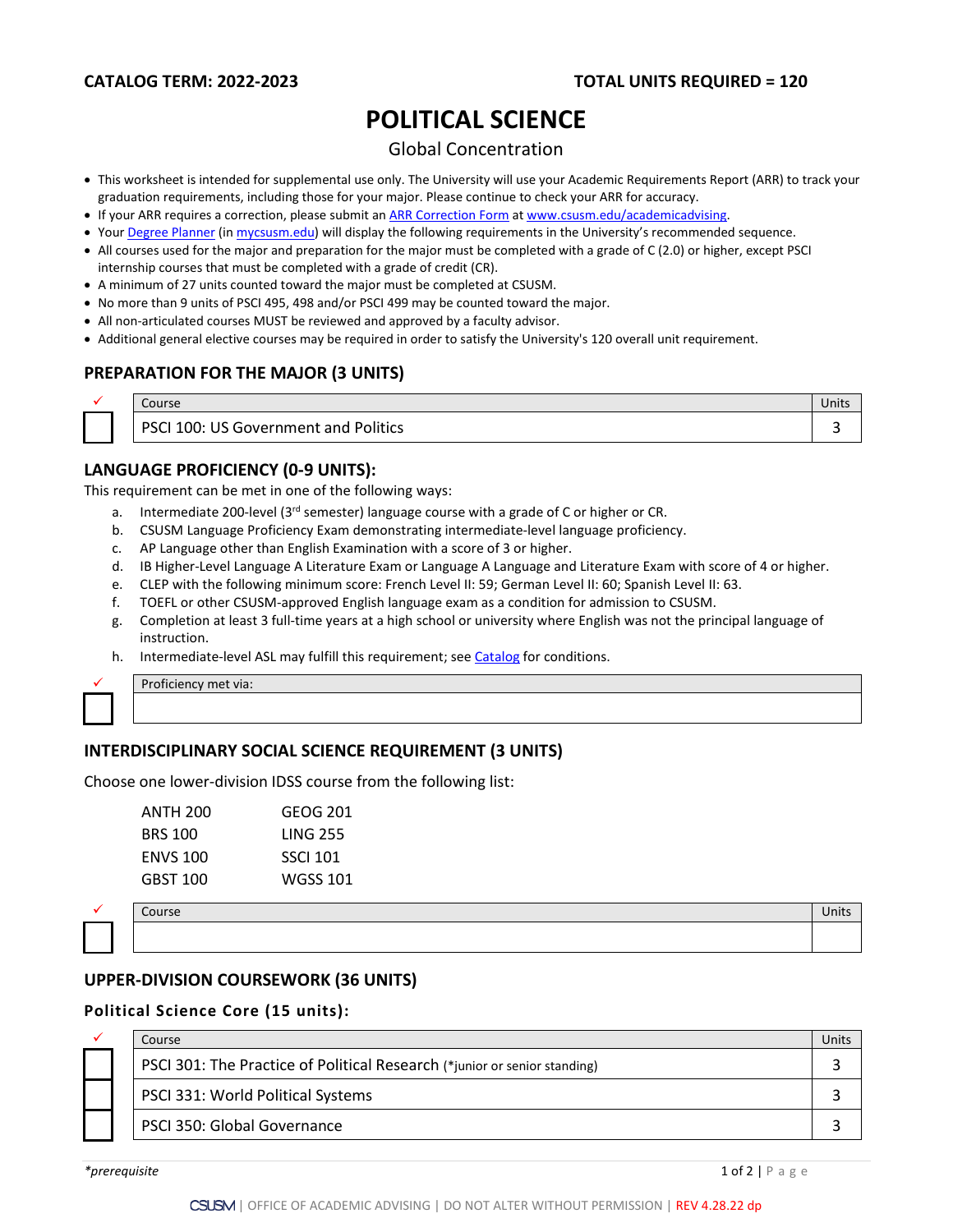# **POLITICAL SCIENCE**

# Global Concentration

- This worksheet is intended for supplemental use only. The University will use your Academic Requirements Report (ARR) to track your graduation requirements, including those for your major. Please continue to check your ARR for accuracy.
- If your ARR requires a correction, please submit an [ARR Correction Form](http://www.csusm.edu/academicadvising/arrcorrection/index.html) a[t www.csusm.edu/academicadvising.](http://www.csusm.edu/academicadvising)
- You[r Degree Planner](https://www.csusm.edu/academicadvising/degreeplanner/index.html) (i[n mycsusm.edu\)](https://my.csusm.edu/) will display the following requirements in the University's recommended sequence.
- All courses used for the major and preparation for the major must be completed with a grade of C (2.0) or higher, except PSCI internship courses that must be completed with a grade of credit (CR).
- A minimum of 27 units counted toward the major must be completed at CSUSM.
- No more than 9 units of PSCI 495, 498 and/or PSCI 499 may be counted toward the major.
- All non-articulated courses MUST be reviewed and approved by a faculty advisor.
- Additional general elective courses may be required in order to satisfy the University's 120 overall unit requirement.

# **PREPARATION FOR THE MAJOR (3 UNITS)**

| Course                                                 | <b>Units</b> |
|--------------------------------------------------------|--------------|
| S Government and Politics<br><b>PSCI 100:</b><br>US Go |              |

# **LANGUAGE PROFICIENCY (0-9 UNITS):**

This requirement can be met in one of the following ways:

- a. Intermediate 200-level (3<sup>rd</sup> semester) language course with a grade of C or higher or CR.
- b. CSUSM Language Proficiency Exam demonstrating intermediate-level language proficiency.
- c. AP Language other than English Examination with a score of 3 or higher.
- d. IB Higher-Level Language A Literature Exam or Language A Language and Literature Exam with score of 4 or higher.
- e. CLEP with the following minimum score: French Level II: 59; German Level II: 60; Spanish Level II: 63.
- f. TOEFL or other CSUSM-approved English language exam as a condition for admission to CSUSM.
- g. Completion at least 3 full-time years at a high school or university where English was not the principal language of instruction.
- h. Intermediate-level ASL may fulfill this requirement; see [Catalog](http://catalog.csusm.edu/) for conditions.



Proficiency met via:

## **INTERDISCIPLINARY SOCIAL SCIENCE REQUIREMENT (3 UNITS)**

Choose one lower-division IDSS course from the following list:

| GEOG 201        |
|-----------------|
| <b>LING 255</b> |
| <b>SSCI 101</b> |
| WGSS 101        |
|                 |



# $\checkmark$  . Course Units and the Units and the Units and the Units and the Units and the Units and Units and Units

## **UPPER-DIVISION COURSEWORK (36 UNITS)**

#### **Political Science Core (15 units):**

|  | Course                                                                    | Jnit: |
|--|---------------------------------------------------------------------------|-------|
|  | PSCI 301: The Practice of Political Research (*junior or senior standing) |       |
|  | PSCI 331: World Political Systems                                         |       |
|  | PSCI 350: Global Governance                                               |       |